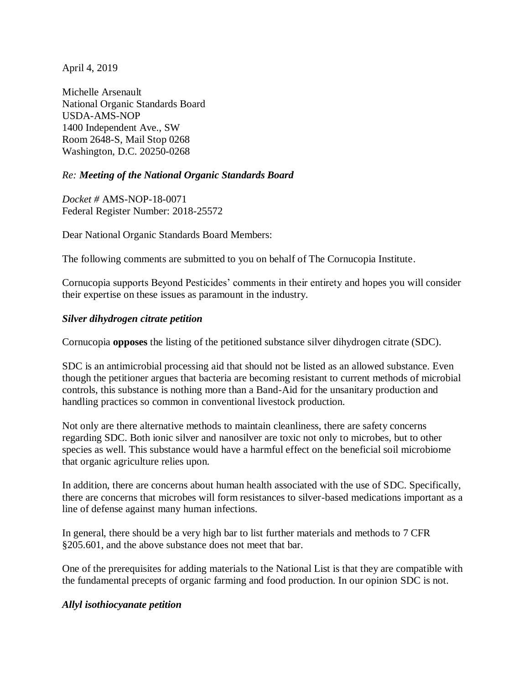April 4, 2019

Michelle Arsenault National Organic Standards Board USDA-AMS-NOP 1400 Independent Ave., SW Room 2648-S, Mail Stop 0268 Washington, D.C. 20250-0268

### *Re: Meeting of the National Organic Standards Board*

*Docket #* AMS-NOP-18-0071 Federal Register Number: 2018-25572

Dear National Organic Standards Board Members:

The following comments are submitted to you on behalf of The Cornucopia Institute.

Cornucopia supports Beyond Pesticides' comments in their entirety and hopes you will consider their expertise on these issues as paramount in the industry.

### *Silver dihydrogen citrate petition*

Cornucopia **opposes** the listing of the petitioned substance silver dihydrogen citrate (SDC).

SDC is an antimicrobial processing aid that should not be listed as an allowed substance. Even though the petitioner argues that bacteria are becoming resistant to current methods of microbial controls, this substance is nothing more than a Band-Aid for the unsanitary production and handling practices so common in conventional livestock production.

Not only are there alternative methods to maintain cleanliness, there are safety concerns regarding SDC. Both ionic silver and nanosilver are toxic not only to microbes, but to other species as well. This substance would have a harmful effect on the beneficial soil microbiome that organic agriculture relies upon.

In addition, there are concerns about human health associated with the use of SDC. Specifically, there are concerns that microbes will form resistances to silver-based medications important as a line of defense against many human infections.

In general, there should be a very high bar to list further materials and methods to 7 CFR §205.601, and the above substance does not meet that bar.

One of the prerequisites for adding materials to the National List is that they are compatible with the fundamental precepts of organic farming and food production. In our opinion SDC is not.

### *Allyl isothiocyanate petition*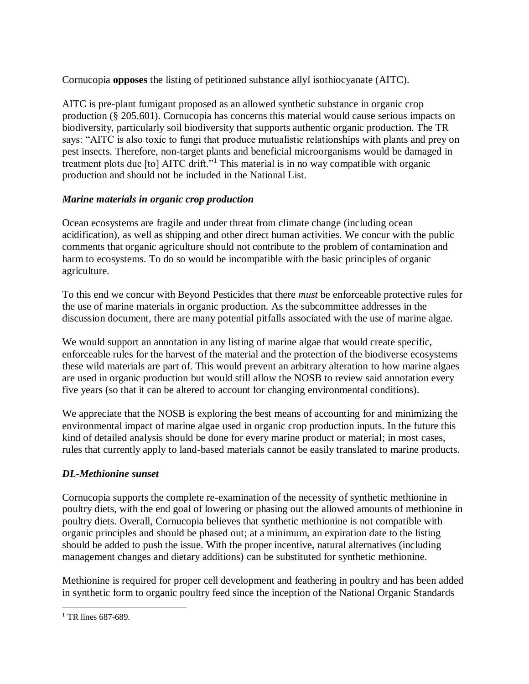Cornucopia **opposes** the listing of petitioned substance allyl isothiocyanate (AITC).

AITC is pre-plant fumigant proposed as an allowed synthetic substance in organic crop production (§ 205.601). Cornucopia has concerns this material would cause serious impacts on biodiversity, particularly soil biodiversity that supports authentic organic production. The TR says: "AITC is also toxic to fungi that produce mutualistic relationships with plants and prey on pest insects. Therefore, non-target plants and beneficial microorganisms would be damaged in treatment plots due [to] AITC drift."<sup>1</sup> This material is in no way compatible with organic production and should not be included in the National List.

# *Marine materials in organic crop production*

Ocean ecosystems are fragile and under threat from climate change (including ocean acidification), as well as shipping and other direct human activities. We concur with the public comments that organic agriculture should not contribute to the problem of contamination and harm to ecosystems. To do so would be incompatible with the basic principles of organic agriculture.

To this end we concur with Beyond Pesticides that there *must* be enforceable protective rules for the use of marine materials in organic production. As the subcommittee addresses in the discussion document, there are many potential pitfalls associated with the use of marine algae.

We would support an annotation in any listing of marine algae that would create specific, enforceable rules for the harvest of the material and the protection of the biodiverse ecosystems these wild materials are part of. This would prevent an arbitrary alteration to how marine algaes are used in organic production but would still allow the NOSB to review said annotation every five years (so that it can be altered to account for changing environmental conditions).

We appreciate that the NOSB is exploring the best means of accounting for and minimizing the environmental impact of marine algae used in organic crop production inputs. In the future this kind of detailed analysis should be done for every marine product or material; in most cases, rules that currently apply to land-based materials cannot be easily translated to marine products.

## *DL-Methionine sunset*

Cornucopia supports the complete re-examination of the necessity of synthetic methionine in poultry diets, with the end goal of lowering or phasing out the allowed amounts of methionine in poultry diets. Overall, Cornucopia believes that synthetic methionine is not compatible with organic principles and should be phased out; at a minimum, an expiration date to the listing should be added to push the issue. With the proper incentive, natural alternatives (including management changes and dietary additions) can be substituted for synthetic methionine.

Methionine is required for proper cell development and feathering in poultry and has been added in synthetic form to organic poultry feed since the inception of the National Organic Standards

 $\overline{a}$ <sup>1</sup> TR lines 687-689.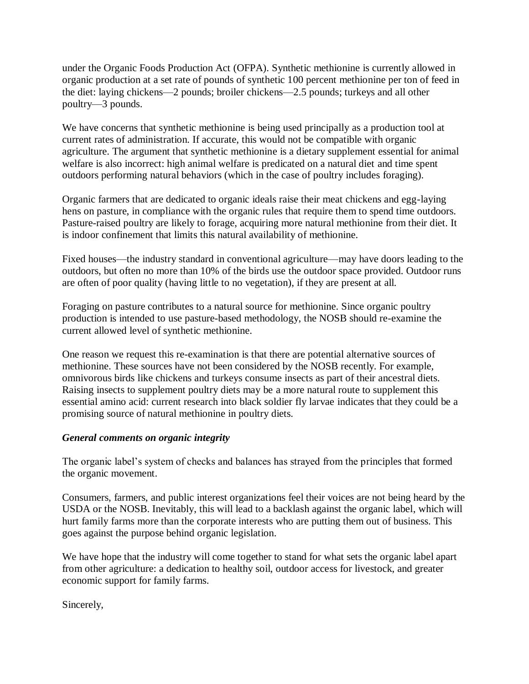under the Organic Foods Production Act (OFPA). Synthetic methionine is currently allowed in organic production at a set rate of pounds of synthetic 100 percent methionine per ton of feed in the diet: laying chickens—2 pounds; broiler chickens—2.5 pounds; turkeys and all other poultry—3 pounds.

We have concerns that synthetic methionine is being used principally as a production tool at current rates of administration. If accurate, this would not be compatible with organic agriculture. The argument that synthetic methionine is a dietary supplement essential for animal welfare is also incorrect: high animal welfare is predicated on a natural diet and time spent outdoors performing natural behaviors (which in the case of poultry includes foraging).

Organic farmers that are dedicated to organic ideals raise their meat chickens and egg-laying hens on pasture, in compliance with the organic rules that require them to spend time outdoors. Pasture-raised poultry are likely to forage, acquiring more natural methionine from their diet. It is indoor confinement that limits this natural availability of methionine.

Fixed houses—the industry standard in conventional agriculture—may have doors leading to the outdoors, but often no more than 10% of the birds use the outdoor space provided. Outdoor runs are often of poor quality (having little to no vegetation), if they are present at all.

Foraging on pasture contributes to a natural source for methionine. Since organic poultry production is intended to use pasture-based methodology, the NOSB should re-examine the current allowed level of synthetic methionine.

One reason we request this re-examination is that there are potential alternative sources of methionine. These sources have not been considered by the NOSB recently. For example, omnivorous birds like chickens and turkeys consume insects as part of their ancestral diets. Raising insects to supplement poultry diets may be a more natural route to supplement this essential amino acid: current research into black soldier fly larvae indicates that they could be a promising source of natural methionine in poultry diets.

### *General comments on organic integrity*

The organic label's system of checks and balances has strayed from the principles that formed the organic movement.

Consumers, farmers, and public interest organizations feel their voices are not being heard by the USDA or the NOSB. Inevitably, this will lead to a backlash against the organic label, which will hurt family farms more than the corporate interests who are putting them out of business. This goes against the purpose behind organic legislation.

We have hope that the industry will come together to stand for what sets the organic label apart from other agriculture: a dedication to healthy soil, outdoor access for livestock, and greater economic support for family farms.

Sincerely,